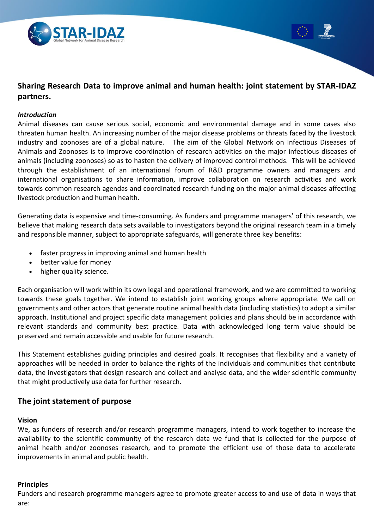



### *Introduction*

Animal diseases can cause serious social, economic and environmental damage and in some cases also threaten human health. An increasing number of the major disease problems or threats faced by the livestock industry and zoonoses are of a global nature. The aim of the Global Network on Infectious Diseases of Animals and Zoonoses is to improve coordination of research activities on the major infectious diseases of animals (including zoonoses) so as to hasten the delivery of improved control methods. This will be achieved through the establishment of an international forum of R&D programme owners and managers and international organisations to share information, improve collaboration on research activities and work towards common research agendas and coordinated research funding on the major animal diseases affecting livestock production and human health.

Generating data is expensive and time-consuming. As funders and programme managers' of this research, we believe that making research data sets available to investigators beyond the original research team in a timely and responsible manner, subject to appropriate safeguards, will generate three key benefits:

- faster progress in improving animal and human health
- better value for money
- higher quality science.

Each organisation will work within its own legal and operational framework, and we are committed to working towards these goals together. We intend to establish joint working groups where appropriate. We call on governments and other actors that generate routine animal health data (including statistics) to adopt a similar approach. Institutional and project specific data management policies and plans should be in accordance with relevant standards and community best practice. Data with acknowledged long term value should be preserved and remain accessible and usable for future research.

This Statement establishes guiding principles and desired goals. It recognises that flexibility and a variety of approaches will be needed in order to balance the rights of the individuals and communities that contribute data, the investigators that design research and collect and analyse data, and the wider scientific community that might productively use data for further research.

# **The joint statement of purpose**

#### **Vision**

We, as funders of research and/or research programme managers, intend to work together to increase the availability to the scientific community of the research data we fund that is collected for the purpose of animal health and/or zoonoses research, and to promote the efficient use of those data to accelerate improvements in animal and public health.

#### **Principles**

Funders and research programme managers agree to promote greater access to and use of data in ways that are: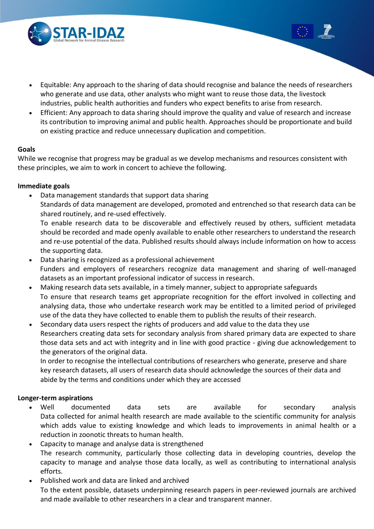

- Equitable: Any approach to the sharing of data should recognise and balance the needs of researchers who generate and use data, other analysts who might want to reuse those data, the livestock industries, public health authorities and funders who expect benefits to arise from research.
- Efficient: Any approach to data sharing should improve the quality and value of research and increase its contribution to improving animal and public health. Approaches should be proportionate and build on existing practice and reduce unnecessary duplication and competition.

## **Goals**

While we recognise that progress may be gradual as we develop mechanisms and resources consistent with these principles, we aim to work in concert to achieve the following.

## **Immediate goals**

Data management standards that support data sharing

Standards of data management are developed, promoted and entrenched so that research data can be shared routinely, and re-used effectively.

To enable research data to be discoverable and effectively reused by others, sufficient metadata should be recorded and made openly available to enable other researchers to understand the research and re-use potential of the data. Published results should always include information on how to access the supporting data.

- Data sharing is recognized as a professional achievement Funders and employers of researchers recognize data management and sharing of well-managed datasets as an important professional indicator of success in research.
- Making research data sets available, in a timely manner, subject to appropriate safeguards To ensure that research teams get appropriate recognition for the effort involved in collecting and analysing data, those who undertake research work may be entitled to a limited period of privileged use of the data they have collected to enable them to publish the results of their research.
- Secondary data users respect the rights of producers and add value to the data they use Researchers creating data sets for secondary analysis from shared primary data are expected to share those data sets and act with integrity and in line with good practice - giving due acknowledgement to the generators of the original data.

In order to recognise the intellectual contributions of researchers who generate, preserve and share key research datasets, all users of research data should acknowledge the sources of their data and abide by the terms and conditions under which they are accessed

# **Longer-term aspirations**

- Well documented data sets are available for secondary analysis Data collected for animal health research are made available to the scientific community for analysis which adds value to existing knowledge and which leads to improvements in animal health or a reduction in zoonotic threats to human health.
- Capacity to manage and analyse data is strengthened The research community, particularly those collecting data in developing countries, develop the capacity to manage and analyse those data locally, as well as contributing to international analysis efforts.
- Published work and data are linked and archived To the extent possible, datasets underpinning research papers in peer-reviewed journals are archived and made available to other researchers in a clear and transparent manner.